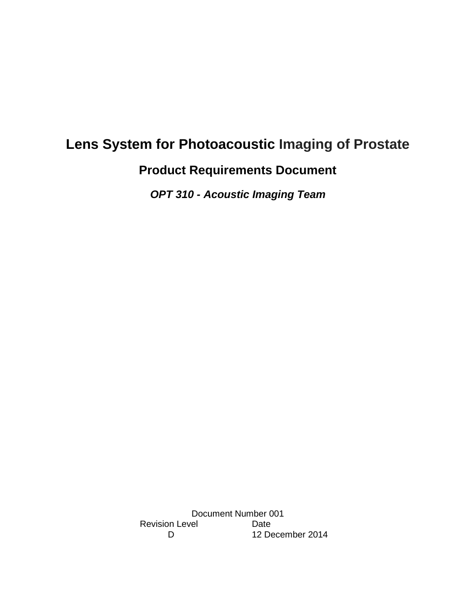# **Lens System for Photoacoustic Imaging of Prostate**

**Product Requirements Document**

*OPT 310 - Acoustic Imaging Team*

Document Number 001 Revision Level Date<br>D 12 De 12 December 2014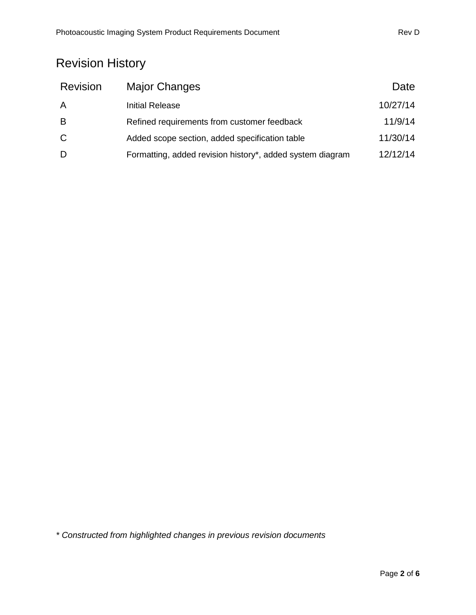# Revision History

| <b>Revision</b> | Major Changes                                             | Date     |
|-----------------|-----------------------------------------------------------|----------|
| A               | <b>Initial Release</b>                                    | 10/27/14 |
| B               | Refined requirements from customer feedback               | 11/9/14  |
| $\mathsf{C}$    | Added scope section, added specification table            | 11/30/14 |
| D               | Formatting, added revision history*, added system diagram | 12/12/14 |

*\* Constructed from highlighted changes in previous revision documents*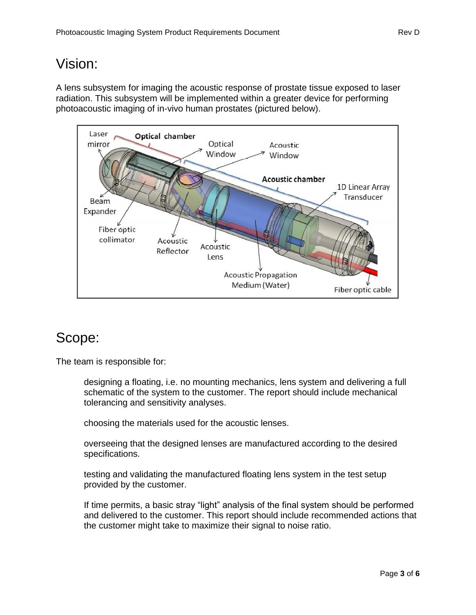# Vision:

A lens subsystem for imaging the acoustic response of prostate tissue exposed to laser radiation. This subsystem will be implemented within a greater device for performing photoacoustic imaging of in-vivo human prostates (pictured below).



## Scope:

The team is responsible for:

designing a floating, i.e. no mounting mechanics, lens system and delivering a full schematic of the system to the customer. The report should include mechanical tolerancing and sensitivity analyses.

choosing the materials used for the acoustic lenses.

overseeing that the designed lenses are manufactured according to the desired specifications.

testing and validating the manufactured floating lens system in the test setup provided by the customer.

If time permits, a basic stray "light" analysis of the final system should be performed and delivered to the customer. This report should include recommended actions that the customer might take to maximize their signal to noise ratio.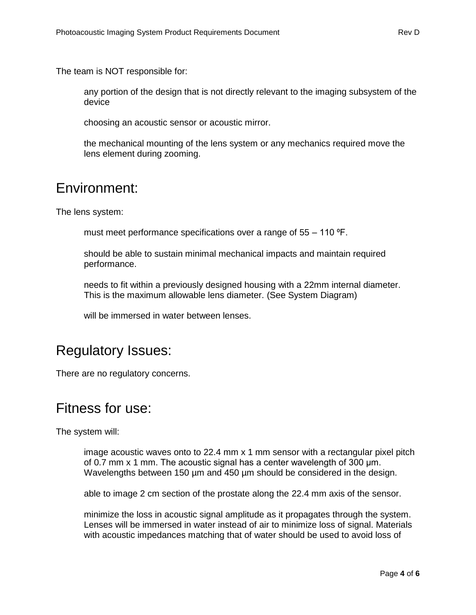The team is NOT responsible for:

any portion of the design that is not directly relevant to the imaging subsystem of the device

choosing an acoustic sensor or acoustic mirror.

the mechanical mounting of the lens system or any mechanics required move the lens element during zooming.

#### Environment:

The lens system:

must meet performance specifications over a range of  $55 - 110$  °F.

should be able to sustain minimal mechanical impacts and maintain required performance.

needs to fit within a previously designed housing with a 22mm internal diameter. This is the maximum allowable lens diameter. (See System Diagram)

will be immersed in water between lenses.

### Regulatory Issues:

There are no regulatory concerns.

#### Fitness for use:

The system will:

image acoustic waves onto to 22.4 mm x 1 mm sensor with a rectangular pixel pitch of 0.7 mm x 1 mm. The acoustic signal has a center wavelength of 300 μm. Wavelengths between 150 µm and 450 µm should be considered in the design.

able to image 2 cm section of the prostate along the 22.4 mm axis of the sensor.

minimize the loss in acoustic signal amplitude as it propagates through the system. Lenses will be immersed in water instead of air to minimize loss of signal. Materials with acoustic impedances matching that of water should be used to avoid loss of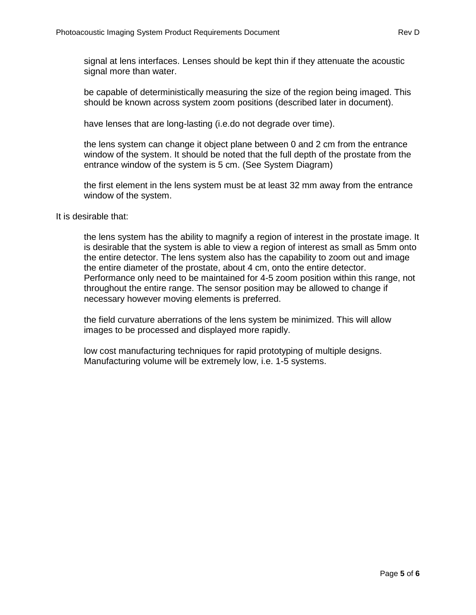signal at lens interfaces. Lenses should be kept thin if they attenuate the acoustic signal more than water.

be capable of deterministically measuring the size of the region being imaged. This should be known across system zoom positions (described later in document).

have lenses that are long-lasting (i.e.do not degrade over time).

the lens system can change it object plane between 0 and 2 cm from the entrance window of the system. It should be noted that the full depth of the prostate from the entrance window of the system is 5 cm. (See System Diagram)

the first element in the lens system must be at least 32 mm away from the entrance window of the system.

It is desirable that:

the lens system has the ability to magnify a region of interest in the prostate image. It is desirable that the system is able to view a region of interest as small as 5mm onto the entire detector. The lens system also has the capability to zoom out and image the entire diameter of the prostate, about 4 cm, onto the entire detector. Performance only need to be maintained for 4-5 zoom position within this range, not throughout the entire range. The sensor position may be allowed to change if necessary however moving elements is preferred.

the field curvature aberrations of the lens system be minimized. This will allow images to be processed and displayed more rapidly.

low cost manufacturing techniques for rapid prototyping of multiple designs. Manufacturing volume will be extremely low, i.e. 1-5 systems.